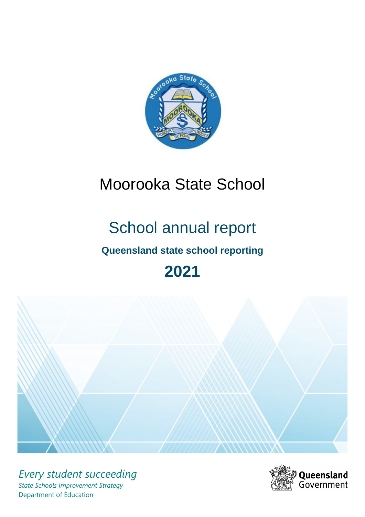

# Moorooka State School

# School annual report

# **Queensland state school reporting**

# **2021**



*Every student succeeding State Schools Improvement Strategy* Department of Education

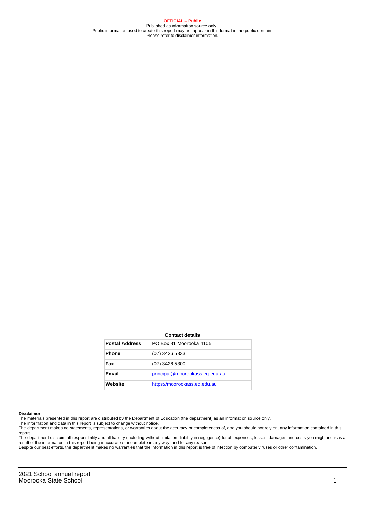**OFFICIAL – Public** Published as information source only. Public information used to create this report may not appear in this format in the public domain Please refer to disclaimer information.

#### **Contact details**

| <b>Postal Address</b> | PO Box 81 Moorooka 4105        |
|-----------------------|--------------------------------|
| <b>Phone</b>          | (07) 3426 5333                 |
| Fax                   | (07) 3426 5300                 |
| Email                 | principal@moorookass.eq.edu.au |
| Website               | https://moorookass.eq.edu.au   |

#### **Disclaimer**

The materials presented in this report are distributed by the Department of Education (the department) as an information source only.

The information and data in this report is subject to change without notice.<br>The department makes no statements, representations, or warranties about the accuracy or completeness of, and you should not rely on, any informa report.

The department disclaim all responsibility and all liability (including without limitation, liability in negligence) for all expenses, losses, damages and costs you might incur as a result of the information in this report being inaccurate or incomplete in any way, and for any reason.

Despite our best efforts, the department makes no warranties that the information in this report is free of infection by computer viruses or other contamination.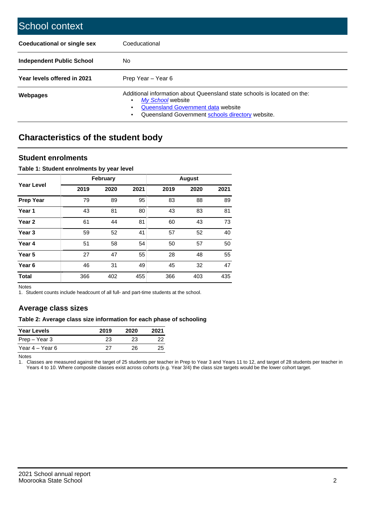| School context                   |                                                                                                                                                                                              |
|----------------------------------|----------------------------------------------------------------------------------------------------------------------------------------------------------------------------------------------|
| Coeducational or single sex      | Coeducational                                                                                                                                                                                |
| <b>Independent Public School</b> | No.                                                                                                                                                                                          |
| Year levels offered in 2021      | Prep Year - Year 6                                                                                                                                                                           |
| Webpages                         | Additional information about Queensland state schools is located on the:<br>My School website<br>Queensland Government data website<br>Queensland Government schools directory website.<br>٠ |

# **Characteristics of the student body**

### **Student enrolments**

#### **Table 1: Student enrolments by year level**

|                   |      | <b>February</b> |      |      | <b>August</b> |      |
|-------------------|------|-----------------|------|------|---------------|------|
| <b>Year Level</b> | 2019 | 2020            | 2021 | 2019 | 2020          | 2021 |
| <b>Prep Year</b>  | 79   | 89              | 95   | 83   | 88            | 89   |
| Year 1            | 43   | 81              | 80   | 43   | 83            | 81   |
| Year 2            | 61   | 44              | 81   | 60   | 43            | 73   |
| Year <sub>3</sub> | 59   | 52              | 41   | 57   | 52            | 40   |
| Year 4            | 51   | 58              | 54   | 50   | 57            | 50   |
| Year <sub>5</sub> | 27   | 47              | 55   | 28   | 48            | 55   |
| Year <sub>6</sub> | 46   | 31              | 49   | 45   | 32            | 47   |
| <b>Total</b>      | 366  | 402             | 455  | 366  | 403           | 435  |

Notes

1. Student counts include headcount of all full- and part-time students at the school.

## **Average class sizes**

#### **Table 2: Average class size information for each phase of schooling**

| <b>Year Levels</b> | 2019 | 2020 | 2021 |
|--------------------|------|------|------|
| Prep – Year 3      | 23   | 23   | 22   |
| Year 4 – Year 6    | 27   | 26.  | 25   |

Notes

1. Classes are measured against the target of 25 students per teacher in Prep to Year 3 and Years 11 to 12, and target of 28 students per teacher in Years 4 to 10. Where composite classes exist across cohorts (e.g. Year 3/4) the class size targets would be the lower cohort target.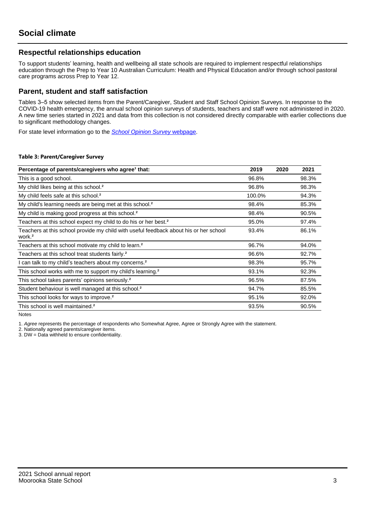## **Respectful relationships education**

To support students' learning, health and wellbeing all state schools are required to implement respectful relationships education through the Prep to Year 10 Australian Curriculum: Health and Physical Education and/or through school pastoral care programs across Prep to Year 12.

### **Parent, student and staff satisfaction**

Tables 3–5 show selected items from the Parent/Caregiver, Student and Staff School Opinion Surveys. In response to the COVID-19 health emergency, the annual school opinion surveys of students, teachers and staff were not administered in 2020. A new time series started in 2021 and data from this collection is not considered directly comparable with earlier collections due to significant methodology changes.

For state level information go to the **[School Opinion Survey](https://qed.qld.gov.au/publications/reports/statistics/schooling/schools/schoolopinionsurvey) webpage**.

#### **Table 3: Parent/Caregiver Survey**

| Percentage of parents/caregivers who agree <sup>1</sup> that:                                               | 2019   | 2020 | 2021  |
|-------------------------------------------------------------------------------------------------------------|--------|------|-------|
| This is a good school.                                                                                      | 96.8%  |      | 98.3% |
| My child likes being at this school. <sup>2</sup>                                                           | 96.8%  |      | 98.3% |
| My child feels safe at this school. <sup>2</sup>                                                            | 100.0% |      | 94.3% |
| My child's learning needs are being met at this school. <sup>2</sup>                                        | 98.4%  |      | 85.3% |
| My child is making good progress at this school. <sup>2</sup>                                               | 98.4%  |      | 90.5% |
| Teachers at this school expect my child to do his or her best. <sup>2</sup>                                 | 95.0%  |      | 97.4% |
| Teachers at this school provide my child with useful feedback about his or her school<br>work. <sup>2</sup> | 93.4%  |      | 86.1% |
| Teachers at this school motivate my child to learn. <sup>2</sup>                                            | 96.7%  |      | 94.0% |
| Teachers at this school treat students fairly. <sup>2</sup>                                                 | 96.6%  |      | 92.7% |
| can talk to my child's teachers about my concerns. <sup>2</sup>                                             | 98.3%  |      | 95.7% |
| This school works with me to support my child's learning. <sup>2</sup>                                      | 93.1%  |      | 92.3% |
| This school takes parents' opinions seriously. <sup>2</sup>                                                 | 96.5%  |      | 87.5% |
| Student behaviour is well managed at this school. <sup>2</sup>                                              | 94.7%  |      | 85.5% |
| This school looks for ways to improve. <sup>2</sup>                                                         | 95.1%  |      | 92.0% |
| This school is well maintained. <sup>2</sup>                                                                | 93.5%  |      | 90.5% |

Notes

1. Agree represents the percentage of respondents who Somewhat Agree, Agree or Strongly Agree with the statement.

2. Nationally agreed parents/caregiver items.

3. DW = Data withheld to ensure confidentiality.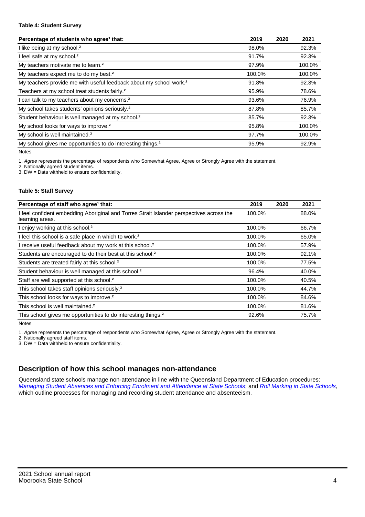#### **Table 4: Student Survey**

| Percentage of students who agree <sup>1</sup> that:                            | 2019   | 2020 | 2021   |
|--------------------------------------------------------------------------------|--------|------|--------|
| I like being at my school. <sup>2</sup>                                        | 98.0%  |      | 92.3%  |
| I feel safe at my school. <sup>2</sup>                                         | 91.7%  |      | 92.3%  |
| My teachers motivate me to learn. <sup>2</sup>                                 | 97.9%  |      | 100.0% |
| My teachers expect me to do my best. <sup>2</sup>                              | 100.0% |      | 100.0% |
| My teachers provide me with useful feedback about my school work. <sup>2</sup> | 91.8%  |      | 92.3%  |
| Teachers at my school treat students fairly. <sup>2</sup>                      | 95.9%  |      | 78.6%  |
| I can talk to my teachers about my concerns. <sup>2</sup>                      | 93.6%  |      | 76.9%  |
| My school takes students' opinions seriously. <sup>2</sup>                     | 87.8%  |      | 85.7%  |
| Student behaviour is well managed at my school. <sup>2</sup>                   | 85.7%  |      | 92.3%  |
| My school looks for ways to improve. <sup>2</sup>                              | 95.8%  |      | 100.0% |
| My school is well maintained. <sup>2</sup>                                     | 97.7%  |      | 100.0% |
| My school gives me opportunities to do interesting things. <sup>2</sup>        | 95.9%  |      | 92.9%  |

Notes

1. Agree represents the percentage of respondents who Somewhat Agree, Agree or Strongly Agree with the statement.

2. Nationally agreed student items.

3. DW = Data withheld to ensure confidentiality.

#### **Table 5: Staff Survey**

| Percentage of staff who agree <sup>1</sup> that:                                                            | 2019   | 2020 | 2021  |
|-------------------------------------------------------------------------------------------------------------|--------|------|-------|
| I feel confident embedding Aboriginal and Torres Strait Islander perspectives across the<br>learning areas. | 100.0% |      | 88.0% |
| I enjoy working at this school. <sup>2</sup>                                                                | 100.0% |      | 66.7% |
| I feel this school is a safe place in which to work. <sup>2</sup>                                           | 100.0% |      | 65.0% |
| I receive useful feedback about my work at this school. <sup>2</sup>                                        | 100.0% |      | 57.9% |
| Students are encouraged to do their best at this school. <sup>2</sup>                                       | 100.0% |      | 92.1% |
| Students are treated fairly at this school. <sup>2</sup>                                                    | 100.0% |      | 77.5% |
| Student behaviour is well managed at this school. <sup>2</sup>                                              | 96.4%  |      | 40.0% |
| Staff are well supported at this school. <sup>2</sup>                                                       | 100.0% |      | 40.5% |
| This school takes staff opinions seriously. <sup>2</sup>                                                    | 100.0% |      | 44.7% |
| This school looks for ways to improve. <sup>2</sup>                                                         | 100.0% |      | 84.6% |
| This school is well maintained. <sup>2</sup>                                                                | 100.0% |      | 81.6% |
| This school gives me opportunities to do interesting things. <sup>2</sup>                                   | 92.6%  |      | 75.7% |

Notes

1. Agree represents the percentage of respondents who Somewhat Agree, Agree or Strongly Agree with the statement.

2. Nationally agreed staff items.

3. DW = Data withheld to ensure confidentiality.

## **Description of how this school manages non-attendance**

Queensland state schools manage non-attendance in line with the Queensland Department of Education procedures: [Managing Student Absences and Enforcing Enrolment and Attendance at State Schools](https://ppr.qed.qld.gov.au/pp/managing-student-absences-and-enforcing-enrolment-and-attendance-at-state-schools-procedure); and [Roll Marking in State Schools,](https://ppr.qed.qld.gov.au/pp/roll-marking-in-state-schools-procedure) which outline processes for managing and recording student attendance and absenteeism.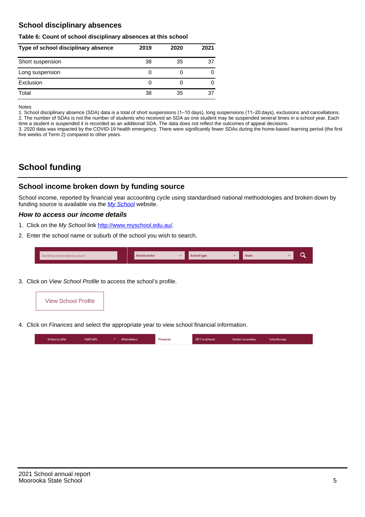## **School disciplinary absences**

#### **Table 6: Count of school disciplinary absences at this school**

| Type of school disciplinary absence | 2019 | 2020 | 2021 |
|-------------------------------------|------|------|------|
| Short suspension                    | 38   | 35   | 37   |
| Long suspension                     | O    |      |      |
| Exclusion                           | 0    |      |      |
| Total                               | 38   | 35   | 37   |

Notes

1. School disciplinary absence (SDA) data is a total of short suspensions (1–10 days), long suspensions (11–20 days), exclusions and cancellations. 2. The number of SDAs is not the number of students who received an SDA as one student may be suspended several times in a school year. Each time a student is suspended it is recorded as an additional SDA. The data does not reflect the outcomes of appeal decisions.

3. 2020 data was impacted by the COVID-19 health emergency. There were significantly fewer SDAs during the home-based learning period (the first five weeks of Term 2) compared to other years.

# **School funding**

## **School income broken down by funding source**

School income, reported by financial year accounting cycle using standardised national methodologies and broken down by funding source is available via the  $My$  School website.

#### **How to access our income details**

- 1. Click on the My School link <http://www.myschool.edu.au/>.
- 2. Enter the school name or suburb of the school you wish to search.

|  | Search by school name or suburb |  | <b>School sector</b> |  | $\sim$ and $\sim$ represents the set of $\sim$ | <b>State</b> |  |  |  |
|--|---------------------------------|--|----------------------|--|------------------------------------------------|--------------|--|--|--|
|--|---------------------------------|--|----------------------|--|------------------------------------------------|--------------|--|--|--|

3. Click on View School Profile to access the school's profile.



4. Click on Finances and select the appropriate year to view school financial information.

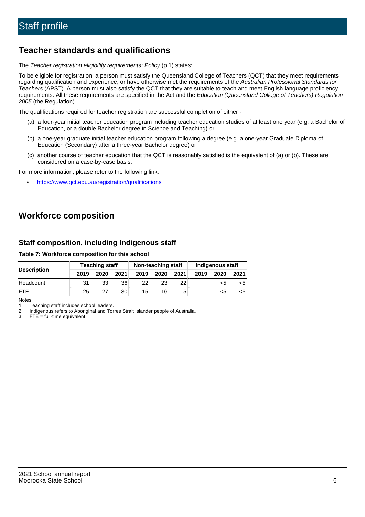## **Teacher standards and qualifications**

The Teacher registration eligibility requirements: Policy (p.1) states:

To be eligible for registration, a person must satisfy the Queensland College of Teachers (QCT) that they meet requirements regarding qualification and experience, or have otherwise met the requirements of the Australian Professional Standards for Teachers (APST). A person must also satisfy the QCT that they are suitable to teach and meet English language proficiency requirements. All these requirements are specified in the Act and the Education (Queensland College of Teachers) Regulation 2005 (the Regulation).

The qualifications required for teacher registration are successful completion of either -

- (a) a four-year initial teacher education program including teacher education studies of at least one year (e.g. a Bachelor of Education, or a double Bachelor degree in Science and Teaching) or
- (b) a one-year graduate initial teacher education program following a degree (e.g. a one-year Graduate Diploma of Education (Secondary) after a three-year Bachelor degree) or
- (c) another course of teacher education that the QCT is reasonably satisfied is the equivalent of (a) or (b). These are considered on a case-by-case basis.

For more information, please refer to the following link:

• <https://www.qct.edu.au/registration/qualifications>

# **Workforce composition**

## **Staff composition, including Indigenous staff**

#### **Table 7: Workforce composition for this school**

|                    |      | <b>Teaching staff</b> |      |      | Non-teaching staff |                 |      | Indigenous staff |      |
|--------------------|------|-----------------------|------|------|--------------------|-----------------|------|------------------|------|
| <b>Description</b> | 2019 | 2020                  | 2021 | 2019 | 2020               | 2021            | 2019 | 2020             | 2021 |
| Headcount          | 31   | 33                    | 36   | 22   | 23                 | 22              |      | <5               |      |
| <b>FTF</b>         | 25   | 27                    | 30   | 15   | 16                 | 15 <sub>1</sub> |      | <5               |      |

Notes

1. Teaching staff includes school leaders.

2. Indigenous refers to Aboriginal and Torres Strait Islander people of Australia.

3. FTE = full-time equivalent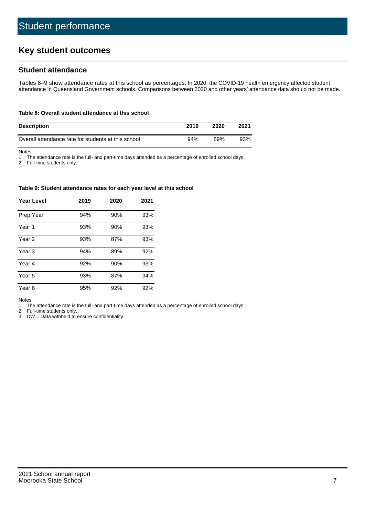# **Key student outcomes**

## **Student attendance**

Tables 8–9 show attendance rates at this school as percentages. In 2020, the COVID-19 health emergency affected student attendance in Queensland Government schools. Comparisons between 2020 and other years' attendance data should not be made.

#### **Table 8: Overall student attendance at this school**

| <b>Description</b>                                  | 2019 | 2020 | 2021 |
|-----------------------------------------------------|------|------|------|
| Overall attendance rate for students at this school | 94%  | 89%  | 93%  |

Notes

1. The attendance rate is the full- and part-time days attended as a percentage of enrolled school days.

2. Full-time students only.

#### **Table 9: Student attendance rates for each year level at this school**

| <b>Year Level</b> | 2019 | 2020 | 2021 |
|-------------------|------|------|------|
| Prep Year         | 94%  | 90%  | 93%  |
| Year <sub>1</sub> | 93%  | 90%  | 93%  |
| Year 2            | 93%  | 87%  | 93%  |
| Year <sub>3</sub> | 94%  | 89%  | 92%  |
| Year 4            | 92%  | 90%  | 93%  |
| Year 5            | 93%  | 87%  | 94%  |
| Year <sub>6</sub> | 95%  | 92%  | 92%  |

Notes

1. The attendance rate is the full- and part-time days attended as a percentage of enrolled school days.

2. Full-time students only.

3. DW = Data withheld to ensure confidentiality